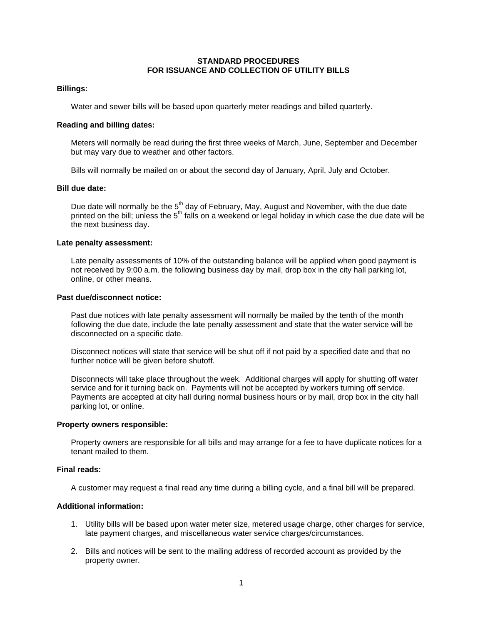# **STANDARD PROCEDURES FOR ISSUANCE AND COLLECTION OF UTILITY BILLS**

## **Billings:**

Water and sewer bills will be based upon quarterly meter readings and billed quarterly.

## **Reading and billing dates:**

Meters will normally be read during the first three weeks of March, June, September and December but may vary due to weather and other factors.

Bills will normally be mailed on or about the second day of January, April, July and October.

#### **Bill due date:**

Due date will normally be the 5<sup>th</sup> day of February, May, August and November, with the due date printed on the bill; unless the 5<sup>th</sup> falls on a weekend or legal holiday in which case the due date will be the next business day.

# **Late penalty assessment:**

Late penalty assessments of 10% of the outstanding balance will be applied when good payment is not received by 9:00 a.m. the following business day by mail, drop box in the city hall parking lot, online, or other means.

# **Past due/disconnect notice:**

Past due notices with late penalty assessment will normally be mailed by the tenth of the month following the due date, include the late penalty assessment and state that the water service will be disconnected on a specific date.

Disconnect notices will state that service will be shut off if not paid by a specified date and that no further notice will be given before shutoff.

Disconnects will take place throughout the week. Additional charges will apply for shutting off water service and for it turning back on. Payments will not be accepted by workers turning off service. Payments are accepted at city hall during normal business hours or by mail, drop box in the city hall parking lot, or online.

#### **Property owners responsible:**

Property owners are responsible for all bills and may arrange for a fee to have duplicate notices for a tenant mailed to them.

# **Final reads:**

A customer may request a final read any time during a billing cycle, and a final bill will be prepared.

# **Additional information:**

- 1. Utility bills will be based upon water meter size, metered usage charge, other charges for service, late payment charges, and miscellaneous water service charges/circumstances.
- 2. Bills and notices will be sent to the mailing address of recorded account as provided by the property owner.